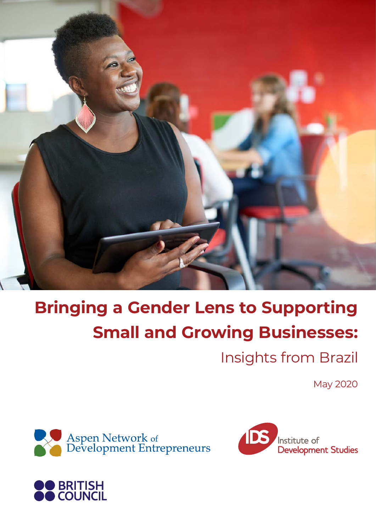

# **Bringing a Gender Lens to Supporting Small and Growing Businesses:**

Insights from Brazil

May 2020





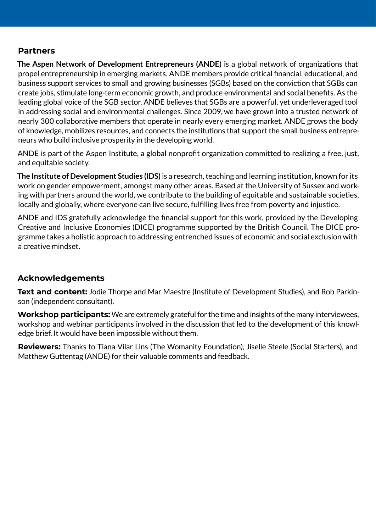#### **Partners**

**The Aspen Network of Development Entrepreneurs (ANDE)** is a global network of organizations that propel entrepreneurship in emerging markets. ANDE members provide critical financial, educational, and business support services to small and growing businesses (SGBs) based on the conviction that SGBs can create jobs, stimulate long-term economic growth, and produce environmental and social benefits. As the leading global voice of the SGB sector, ANDE believes that SGBs are a powerful, yet underleveraged tool in addressing social and environmental challenges. Since 2009, we have grown into a trusted network of nearly 300 collaborative members that operate in nearly every emerging market. ANDE grows the body of knowledge, mobilizes resources, and connects the institutions that support the small business entrepreneurs who build inclusive prosperity in the developing world.

ANDE is part of the Aspen Institute, a global nonprofit organization committed to realizing a free, just, and equitable society.

**The Institute of Development Studies (IDS)** is a research, teaching and learning institution, known for its work on gender empowerment, amongst many other areas. Based at the University of Sussex and working with partners around the world, we contribute to the building of equitable and sustainable societies, locally and globally, where everyone can live secure, fulfilling lives free from poverty and injustice.

ANDE and IDS gratefully acknowledge the financial support for this work, provided by the Developing Creative and Inclusive Economies (DICE) programme supported by the British Council. The DICE programme takes a holistic approach to addressing entrenched issues of economic and social exclusion with a creative mindset.

#### **Acknowledgements**

**Text and content:** Jodie Thorpe and Mar Maestre (Institute of Development Studies), and Rob Parkinson (independent consultant).

**Workshop participants:** We are extremely grateful for the time and insights of the many interviewees, workshop and webinar participants involved in the discussion that led to the development of this knowledge brief. It would have been impossible without them.

**Reviewers:** Thanks to Tiana Vilar Lins (The Womanity Foundation), Jiselle Steele (Social Starters), and Matthew Guttentag (ANDE) for their valuable comments and feedback.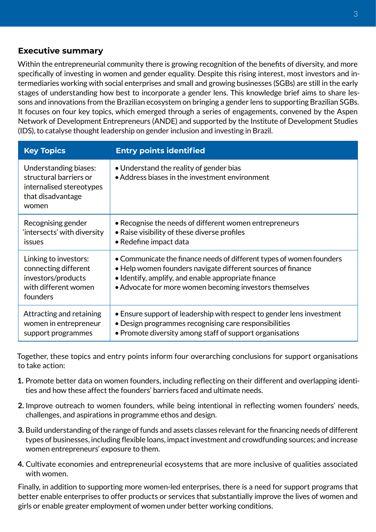#### **Executive summary**

Within the entrepreneurial community there is growing recognition of the benefits of diversity, and more specifically of investing in women and gender equality. Despite this rising interest, most investors and intermediaries working with social enterprises and small and growing businesses (SGBs) are still in the early stages of understanding how best to incorporate a gender lens. This knowledge brief aims to share lessons and innovations from the Brazilian ecosystem on bringing a gender lens to supporting Brazilian SGBs. It focuses on four key topics, which emerged through a series of engagements, convened by the Aspen Network of Development Entrepreneurs (ANDE) and supported by the Institute of Development Studies (IDS), to catalyse thought leadership on gender inclusion and investing in Brazil.

| <b>Key Topics</b>                                                                                         | <b>Entry points identified</b>                                                                                                                                                                                                                        |  |  |
|-----------------------------------------------------------------------------------------------------------|-------------------------------------------------------------------------------------------------------------------------------------------------------------------------------------------------------------------------------------------------------|--|--|
| Understanding biases:<br>structural barriers or<br>internalised stereotypes<br>that disadvantage<br>women | • Understand the reality of gender bias<br>• Address biases in the investment environment                                                                                                                                                             |  |  |
| Recognising gender<br>'intersects' with diversity<br>issues                                               | • Recognise the needs of different women entrepreneurs<br>• Raise visibility of these diverse profiles<br>• Redefine impact data                                                                                                                      |  |  |
| Linking to investors:<br>connecting different<br>investors/products<br>with different women<br>founders   | • Communicate the finance needs of different types of women founders<br>• Help women founders navigate different sources of finance<br>• Identify, amplify, and enable appropriate finance<br>• Advocate for more women becoming investors themselves |  |  |
| Attracting and retaining<br>women in entrepreneur<br>support programmes                                   | • Ensure support of leadership with respect to gender lens investment<br>• Design programmes recognising care responsibilities<br>• Promote diversity among staff of support organisations                                                            |  |  |

Together, these topics and entry points inform four overarching conclusions for support organisations to take action:

- **1.** Promote better data on women founders, including reflecting on their different and overlapping identities and how these affect the founders' barriers faced and ultimate needs.
- **2.** Improve outreach to women founders, while being intentional in reflecting women founders' needs, challenges, and aspirations in programme ethos and design.
- **3.** Build understanding of the range of funds and assets classes relevant for the financing needs of different types of businesses, including flexible loans, impact investment and crowdfunding sources; and increase women entrepreneurs' exposure to them.
- **4.** Cultivate economies and entrepreneurial ecosystems that are more inclusive of qualities associated with women.

Finally, in addition to supporting more women-led enterprises, there is a need for support programs that better enable enterprises to offer products or services that substantially improve the lives of women and girls or enable greater employment of women under better working conditions.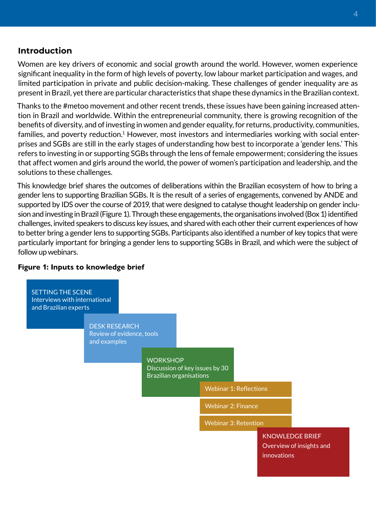#### **Introduction**

Women are key drivers of economic and social growth around the world. However, women experience significant inequality in the form of high levels of poverty, low labour market participation and wages, and limited participation in private and public decision-making. These challenges of gender inequality are as present in Brazil, yet there are particular characteristics that shape these dynamics in the Brazilian context.

Thanks to the #metoo movement and other recent trends, these issues have been gaining increased attention in Brazil and worldwide. Within the entrepreneurial community, there is growing recognition of the benefits of diversity, and of investing in women and gender equality, for returns, productivity, communities, families, and poverty reduction.<sup>1</sup> However, most investors and intermediaries working with social enterprises and SGBs are still in the early stages of understanding how best to incorporate a 'gender lens.' This refers to investing in or supporting SGBs through the lens of female empowerment; considering the issues that affect women and girls around the world, the power of women's participation and leadership, and the solutions to these challenges.

This knowledge brief shares the outcomes of deliberations within the Brazilian ecosystem of how to bring a gender lens to supporting Brazilian SGBs. It is the result of a series of engagements, convened by ANDE and supported by IDS over the course of 2019, that were designed to catalyse thought leadership on gender inclusion and investing in Brazil (Figure 1). Through these engagements, the organisations involved (Box 1) identified challenges, invited speakers to discuss key issues, and shared with each other their current experiences of how to better bring a gender lens to supporting SGBs. Participants also identified a number of key topics that were particularly important for bringing a gender lens to supporting SGBs in Brazil, and which were the subject of follow up webinars.

#### **Figure 1: Inputs to knowledge brief**

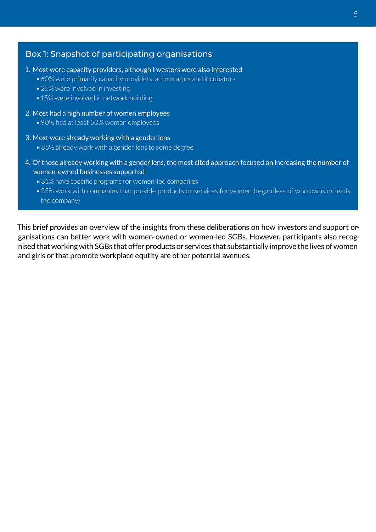#### Box 1: Snapshot of participating organisations

- 1. Most were capacity providers, although investors were also interested
	- •60% were primarily capacity providers, accelerators and incubators
	- 25% were involved in investing
	- 15% were involved in network building
- 2. Most had a high number of women employees
	- •90% had at least 50% women employees
- 3. Most were already working with a gender lens
	- 85% already work with a gender lens to some degree
- 4. Of those already working with a gender lens, the most cited approach focused on increasing the number of women-owned businesses supported
	- 31% have specific programs for women-led companies
	- •25% work with companies that provide products or services for women (regardless of who owns or leads the company)

This brief provides an overview of the insights from these deliberations on how investors and support organisations can better work with women-owned or women-led SGBs. However, participants also recognised that working with SGBs that offer products or services that substantially improve the lives of women and girls or that promote workplace equtity are other potential avenues.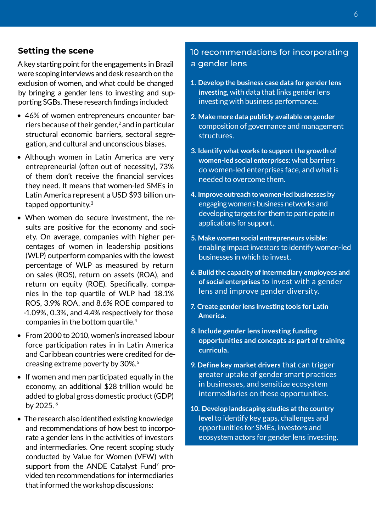#### **Setting the scene**

A key starting point for the engagements in Brazil were scoping interviews and desk research on the exclusion of women, and what could be changed by bringing a gender lens to investing and supporting SGBs. These research findings included:

- 46% of women entrepreneurs encounter barriers because of their gender,<sup>2</sup> and in particular structural economic barriers, sectoral segregation, and cultural and unconscious biases.
- Although women in Latin America are very entrepreneurial (often out of necessity), 73% of them don't receive the financial services they need. It means that women-led SMEs in Latin America represent a USD \$93 billion untapped opportunity.3
- When women do secure investment, the results are positive for the economy and society. On average, companies with higher percentages of women in leadership positions (WLP) outperform companies with the lowest percentage of WLP as measured by return on sales (ROS), return on assets (ROA), and return on equity (ROE). Specifically, companies in the top quartile of WLP had 18.1% ROS, 3.9% ROA, and 8.6% ROE compared to -1.09%, 0.3%, and 4.4% respectively for those companies in the bottom quartile.4
- From 2000 to 2010, women's increased labour force participation rates in in Latin America and Caribbean countries were credited for decreasing extreme poverty by 30%.<sup>5</sup>
- If women and men participated equally in the economy, an additional \$28 trillion would be added to global gross domestic product (GDP) by 2025. <sup>6</sup>
- The research also identified existing knowledge and recommendations of how best to incorporate a gender lens in the activities of investors and intermediaries. One recent scoping study conducted by Value for Women (VFW) with support from the ANDE Catalyst Fund<sup>7</sup> provided ten recommendations for intermediaries that informed the workshop discussions:

## 10 recommendations for incorporating a gender lens

- **1. Develop the business case data for gender lens investing,** with data that links gender lens investing with business performance.
- **2. Make more data publicly available on gender**  composition of governance and management structures.
- **3. Identify what works to support the growth of women-led social enterprises:** what barriers do women-led enterprises face, and what is needed to overcome them.
- **4. Improve outreach to women-led businesses** by engaging women's business networks and developing targets for them to participate in applications for support.
- **5. Make women social entrepreneurs visible:**  enabling impact investors to identify women-led businesses in which to invest.
- **6. Build the capacity of intermediary employees and of social enterprises** to invest with a gender lens and improve gender diversity.
- **7. Create gender lens investing tools for Latin America.**
- **8. Include gender lens investing funding opportunities and concepts as part of training curricula.**
- **9. Define key market drivers** that can trigger greater uptake of gender smart practices in businesses, and sensitize ecosystem intermediaries on these opportunities.
- **10. Develop landscaping studies at the country level** to identify key gaps, challenges and opportunities for SMEs, investors and ecosystem actors for gender lens investing.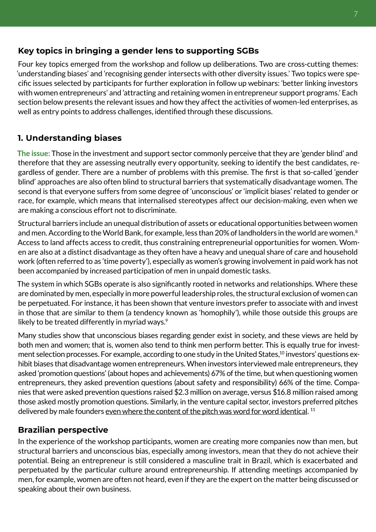## **Key topics in bringing a gender lens to supporting SGBs**

Four key topics emerged from the workshop and follow up deliberations. Two are cross-cutting themes: 'understanding biases' and 'recognising gender intersects with other diversity issues.' Two topics were specific issues selected by participants for further exploration in follow up webinars: 'better linking investors with women entrepreneurs' and 'attracting and retaining women in entrepreneur support programs.' Each section below presents the relevant issues and how they affect the activities of women-led enterprises, as well as entry points to address challenges, identified through these discussions.

# **1. Understanding biases**

**The issue:** Those in the investment and support sector commonly perceive that they are 'gender blind' and therefore that they are assessing neutrally every opportunity, seeking to identify the best candidates, regardless of gender. There are a number of problems with this premise. The first is that so-called 'gender blind' approaches are also often blind to structural barriers that systematically disadvantage women. The second is that everyone suffers from some degree of 'unconscious' or 'implicit biases' related to gender or race, for example, which means that internalised stereotypes affect our decision-making, even when we are making a conscious effort not to discriminate.

Structural barriers include an unequal distribution of assets or educational opportunities between women and men. According to the World Bank, for example, less than 20% of landholders in the world are women.<sup>8</sup> Access to land affects access to credit, thus constraining entrepreneurial opportunities for women. Women are also at a distinct disadvantage as they often have a heavy and unequal share of care and household work (often referred to as 'time poverty'), especially as women's growing involvement in paid work has not been accompanied by increased participation of men in unpaid domestic tasks.

The system in which SGBs operate is also significantly rooted in networks and relationships. Where these are dominated by men, especially in more powerful leadership roles, the structural exclusion of women can be perpetuated. For instance, it has been shown that venture investors prefer to associate with and invest in those that are similar to them (a tendency known as 'homophily'), while those outside this groups are likely to be treated differently in myriad ways.<sup>9</sup>

Many studies show that unconscious biases regarding gender exist in society, and these views are held by both men and women; that is, women also tend to think men perform better. This is equally true for investment selection processes. For example, according to one study in the United States,<sup>10</sup> investors' questions exhibit biases that disadvantage women entrepreneurs. When investors interviewed male entrepreneurs, they asked 'promotion questions' (about hopes and achievements) 67% of the time, but when questioning women entrepreneurs, they asked prevention questions (about safety and responsibility) 66% of the time. Companies that were asked prevention questions raised \$2.3 million on average, versus \$16.8 million raised among those asked mostly promotion questions. Similarly, in the venture capital sector, investors preferred pitches delivered by male founders even where the content of the pitch was word for word identical.<sup>11</sup>

# **Brazilian perspective**

In the experience of the workshop participants, women are creating more companies now than men, but structural barriers and unconscious bias, especially among investors, mean that they do not achieve their potential. Being an entrepreneur is still considered a masculine trait in Brazil, which is exacerbated and perpetuated by the particular culture around entrepreneurship. If attending meetings accompanied by men, for example, women are often not heard, even if they are the expert on the matter being discussed or speaking about their own business.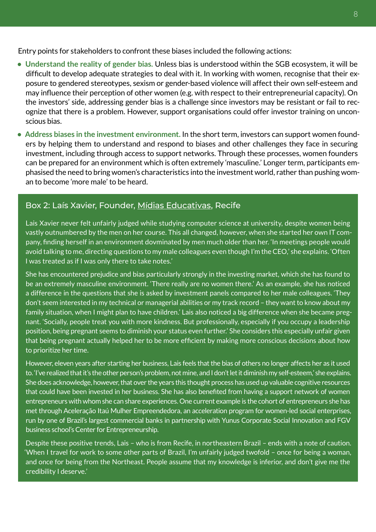Entry points for stakeholders to confront these biases included the following actions:

- **Understand the reality of gender bias.** Unless bias is understood within the SGB ecosystem, it will be difficult to develop adequate strategies to deal with it. In working with women, recognise that their exposure to gendered stereotypes, sexism or gender-based violence will affect their own self-esteem and may influence their perception of other women (e.g. with respect to their entrepreneurial capacity). On the investors' side, addressing gender bias is a challenge since investors may be resistant or fail to recognize that there is a problem. However, support organisations could offer investor training on unconscious bias.
- **Address biases in the investment environment.** In the short term, investors can support women founders by helping them to understand and respond to biases and other challenges they face in securing investment, including through access to support networks. Through these processes, women founders can be prepared for an environment which is often extremely 'masculine.' Longer term, participants emphasised the need to bring women's characteristics into the investment world, rather than pushing woman to become 'more male' to be heard.

#### Box 2: Laís Xavier, Founder, [Mídias Educativas](http://www.midiaseducativas.com.br/), Recife

Lais Xavier never felt unfairly judged while studying computer science at university, despite women being vastly outnumbered by the men on her course. This all changed, however, when she started her own IT company, finding herself in an environment dovminated by men much older than her. 'In meetings people would avoid talking to me, directing questions to my male colleagues even though I'm the CEO,' she explains. 'Often I was treated as if I was only there to take notes.'

She has encountered prejudice and bias particularly strongly in the investing market, which she has found to be an extremely masculine environment. 'There really are no women there.' As an example, she has noticed a difference in the questions that she is asked by investment panels compared to her male colleagues. 'They don't seem interested in my technical or managerial abilities or my track record – they want to know about my family situation, when I might plan to have children.' Lais also noticed a big difference when she became pregnant. 'Socially, people treat you with more kindness. But professionally, especially if you occupy a leadership position, being pregnant seems to diminish your status even further.' She considers this especially unfair given that being pregnant actually helped her to be more efficient by making more conscious decisions about how to prioritize her time.

However, eleven years after starting her business, Lais feels that the bias of others no longer affects her as it used to. 'I've realized that it's the other person's problem, not mine, and I don't let it diminish my self-esteem,' she explains. She does acknowledge, however, that over the years this thought process has used up valuable cognitive resources that could have been invested in her business. She has also benefited from having a support network of women entrepreneurs with whom she can share experiences. One current example is the cohort of entrepreneurs she has met through Aceleração Itaú Mulher Empreendedora, an acceleration program for women-led social enterprises, run by one of Brazil's largest commercial banks in partnership with Yunus Corporate Social Innovation and FGV business school's Center for Entrepreneurship.

Despite these positive trends, Lais – who is from Recife, in northeastern Brazil – ends with a note of caution. 'When I travel for work to some other parts of Brazil, I'm unfairly judged twofold – once for being a woman, and once for being from the Northeast. People assume that my knowledge is inferior, and don't give me the credibility I deserve.'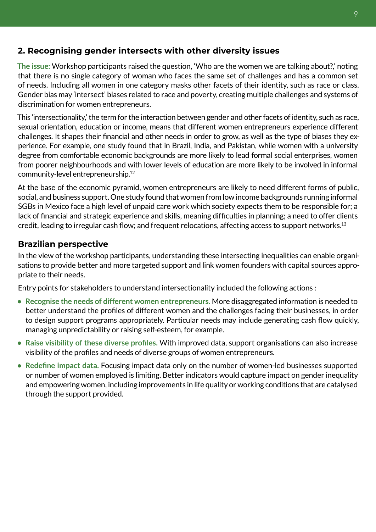## **2. Recognising gender intersects with other diversity issues**

**The issue:** Workshop participants raised the question, 'Who are the women we are talking about?,' noting that there is no single category of woman who faces the same set of challenges and has a common set of needs. Including all women in one category masks other facets of their identity, such as race or class. Gender bias may 'intersect' biases related to race and poverty, creating multiple challenges and systems of discrimination for women entrepreneurs.

This 'intersectionality,' the term for the interaction between gender and other facets of identity, such as race, sexual orientation, education or income, means that different women entrepreneurs experience different challenges. It shapes their financial and other needs in order to grow, as well as the type of biases they experience. For example, one study found that in Brazil, India, and Pakistan, while women with a university degree from comfortable economic backgrounds are more likely to lead formal social enterprises, women from poorer neighbourhoods and with lower levels of education are more likely to be involved in informal community-level entrepreneurship.<sup>12</sup>

At the base of the economic pyramid, women entrepreneurs are likely to need different forms of public, social, and business support. One study found that women from low income backgrounds running informal SGBs in Mexico face a high level of unpaid care work which society expects them to be responsible for; a lack of financial and strategic experience and skills, meaning difficulties in planning; a need to offer clients credit, leading to irregular cash flow; and frequent relocations, affecting access to support networks.13

## **Brazilian perspective**

In the view of the workshop participants, understanding these intersecting inequalities can enable organisations to provide better and more targeted support and link women founders with capital sources appropriate to their needs.

Entry points for stakeholders to understand intersectionality included the following actions :

- **Recognise the needs of different women entrepreneurs.** More disaggregated information is needed to better understand the profiles of different women and the challenges facing their businesses, in order to design support programs appropriately. Particular needs may include generating cash flow quickly, managing unpredictability or raising self-esteem, for example.
- **Raise visibility of these diverse profiles.** With improved data, support organisations can also increase visibility of the profiles and needs of diverse groups of women entrepreneurs.
- **Redefine impact data.** Focusing impact data only on the number of women-led businesses supported or number of women employed is limiting. Better indicators would capture impact on gender inequality and empowering women, including improvements in life quality or working conditions that are catalysed through the support provided.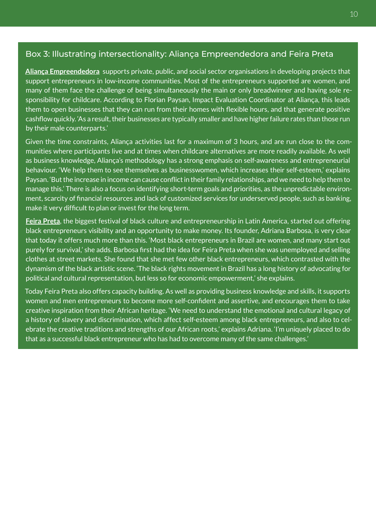#### Box 3: Illustrating intersectionality: Aliança Empreendedora and Feira Preta

**[Aliança Empreendedora](https://aliancaempreendedora.org.br/)** supports private, public, and social sector organisations in developing projects that support entrepreneurs in low-income communities. Most of the entrepreneurs supported are women, and many of them face the challenge of being simultaneously the main or only breadwinner and having sole responsibility for childcare. According to Florian Paysan, Impact Evaluation Coordinator at Aliança, this leads them to open businesses that they can run from their homes with flexible hours, and that generate positive cashflow quickly. 'As a result, their businesses are typically smaller and have higher failure rates than those run by their male counterparts.'

Given the time constraints, Aliança activities last for a maximum of 3 hours, and are run close to the communities where participants live and at times when childcare alternatives are more readily available. As well as business knowledge, Aliança's methodology has a strong emphasis on self-awareness and entrepreneurial behaviour. 'We help them to see themselves as businesswomen, which increases their self-esteem,' explains Paysan. 'But the increase in income can cause conflict in their family relationships, and we need to help them to manage this.' There is also a focus on identifying short-term goals and priorities, as the unpredictable environment, scarcity of financial resources and lack of customized services for underserved people, such as banking, make it very difficult to plan or invest for the long term.

**[Feira Preta](http://feirapreta.com.br/)**, the biggest festival of black culture and entrepreneurship in Latin America, started out offering black entrepreneurs visibility and an opportunity to make money. Its founder, Adriana Barbosa, is very clear that today it offers much more than this. 'Most black entrepreneurs in Brazil are women, and many start out purely for survival,' she adds. Barbosa first had the idea for Feira Preta when she was unemployed and selling clothes at street markets. She found that she met few other black entrepreneurs, which contrasted with the dynamism of the black artistic scene. 'The black rights movement in Brazil has a long history of advocating for political and cultural representation, but less so for economic empowerment,' she explains.

Today Feira Preta also offers capacity building. As well as providing business knowledge and skills, it supports women and men entrepreneurs to become more self-confident and assertive, and encourages them to take creative inspiration from their African heritage. 'We need to understand the emotional and cultural legacy of a history of slavery and discrimination, which affect self-esteem among black entrepreneurs, and also to celebrate the creative traditions and strengths of our African roots,' explains Adriana. 'I'm uniquely placed to do that as a successful black entrepreneur who has had to overcome many of the same challenges.'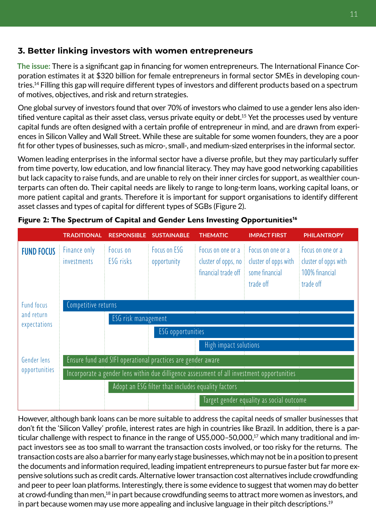## **3. Better linking investors with women entrepreneurs**

**The issue:** There is a significant gap in financing for women entrepreneurs. The International Finance Corporation estimates it at \$320 billion for female entrepreneurs in formal sector SMEs in developing countries.14 Filling this gap will require different types of investors and different products based on a spectrum of motives, objectives, and risk and return strategies.

One global survey of investors found that over 70% of investors who claimed to use a gender lens also identified venture capital as their asset class, versus private equity or debt.<sup>15</sup> Yet the processes used by venture capital funds are often designed with a certain profile of entrepreneur in mind, and are drawn from experiences in Silicon Valley and Wall Street. While these are suitable for some women founders, they are a poor fit for other types of businesses, such as micro-, small-, and medium-sized enterprises in the informal sector.

Women leading enterprises in the informal sector have a diverse profile, but they may particularly suffer from time poverty, low education, and low financial literacy. They may have good networking capabilities but lack capacity to raise funds, and are unable to rely on their inner circles for support, as wealthier counterparts can often do. Their capital needs are likely to range to long-term loans, working capital loans, or more patient capital and grants. Therefore it is important for support organisations to identify different asset classes and types of capital for different types of SGBs (Figure 2).

|                          | <b>TRADITIONAL</b>                                                                         | <b>RESPONSIBLE</b>    | <b>SUSTAINABLE</b>          | <b>THEMATIC</b>                                                 | <b>IMPACT FIRST</b>                                                      | <b>PHILANTROPY</b>                                                       |  |  |
|--------------------------|--------------------------------------------------------------------------------------------|-----------------------|-----------------------------|-----------------------------------------------------------------|--------------------------------------------------------------------------|--------------------------------------------------------------------------|--|--|
| <b>FUND FOCUS</b>        | Finance only<br>investments                                                                | Focus on<br>ESG risks | Focus on ESG<br>opportunity | Focus on one or a<br>cluster of opps, no<br>financial trade off | Focus on one or a<br>cluster of opps with<br>some financial<br>trade off | Focus on one or a<br>cluster of opps with<br>100% financial<br>trade off |  |  |
| Fund focus<br>and return | Competitive returns<br>ESG risk management                                                 |                       |                             |                                                                 |                                                                          |                                                                          |  |  |
| expectations             |                                                                                            |                       |                             |                                                                 |                                                                          |                                                                          |  |  |
|                          | ESG opportunities                                                                          |                       |                             |                                                                 |                                                                          |                                                                          |  |  |
|                          |                                                                                            |                       |                             | High impact solutions                                           |                                                                          |                                                                          |  |  |
| Gender lens              | Ensure fund and SIFI operational practices are gender aware                                |                       |                             |                                                                 |                                                                          |                                                                          |  |  |
| opportunities            | Incorporate a gender lens within due dilligence assessment of all investment opportunities |                       |                             |                                                                 |                                                                          |                                                                          |  |  |
|                          | Adopt an ESG filter that includes equality factors                                         |                       |                             |                                                                 |                                                                          |                                                                          |  |  |
|                          | Target gender equality as social outcome                                                   |                       |                             |                                                                 |                                                                          |                                                                          |  |  |

**Figure 2: The Spectrum of Capital and Gender Lens Investing Opportunities16**

However, although bank loans can be more suitable to address the capital needs of smaller businesses that don't fit the 'Silicon Valley' profile, interest rates are high in countries like Brazil. In addition, there is a particular challenge with respect to finance in the range of US5,000-50,000,<sup>17</sup> which many traditional and impact investors see as too small to warrant the transaction costs involved, or too risky for the returns. The transaction costs are also a barrier for many early stage businesses, which may not be in a position to present the documents and information required, leading impatient entrepreneurs to pursue faster but far more expensive solutions such as credit cards. Alternative lower transaction cost alternatives include crowdfunding and peer to peer loan platforms. Interestingly, there is some evidence to suggest that women may do better at crowd-funding than men,<sup>18</sup> in part because crowdfunding seems to attract more women as investors, and in part because women may use more appealing and inclusive language in their pitch descriptions.<sup>19</sup>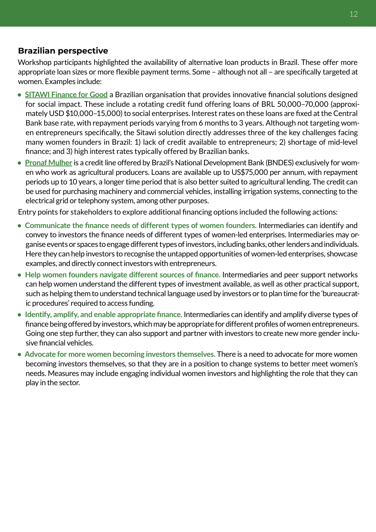#### **Brazilian perspective**

Workshop participants highlighted the availability of alternative loan products in Brazil. These offer more appropriate loan sizes or more flexible payment terms. Some – although not all – are specifically targeted at women. Examples include:

- **[SITAWI Finance for Good](www.sitawi.net/social-environmental-loans/)** a Brazilian organisation that provides innovative financial solutions designed for social impact. These include a rotating credit fund offering loans of BRL 50,000–70,000 (approximately USD \$10,000–15,000) to social enterprises. Interest rates on these loans are fixed at the Central Bank base rate, with repayment periods varying from 6 months to 3 years. Although not targeting women entrepreneurs specifically, the Sitawi solution directly addresses three of the key challenges facing many women founders in Brazil: 1) lack of credit available to entrepreneurs; 2) shortage of mid-level finance; and 3) high interest rates typically offered by Brazilian banks.
- **[Pronaf Mulher](www.bndes.gov.br/wps/portal/site/home/financiamento/produto/pronaf-mulher)** is a credit line offered by Brazil's National Development Bank (BNDES) exclusively for women who work as agricultural producers. Loans are available up to US\$75,000 per annum, with repayment periods up to 10 years, a longer time period that is also better suited to agricultural lending. The credit can be used for purchasing machinery and commercial vehicles, installing irrigation systems, connecting to the electrical grid or telephony system, among other purposes.

Entry points for stakeholders to explore additional financing options included the following actions:

- **Communicate the finance needs of different types of women founders.** Intermediaries can identify and convey to investors the finance needs of different types of women-led enterprises. Intermediaries may organise events or spaces to engage different types of investors, including banks, other lenders and individuals. Here they can help investors to recognise the untapped opportunities of women-led enterprises, showcase examples, and directly connect investors with entrepreneurs.
- **Help women founders navigate different sources of finance.** Intermediaries and peer support networks can help women understand the different types of investment available, as well as other practical support, such as helping them to understand technical language used by investors or to plan time for the 'bureaucratic procedures' required to access funding.
- **Identify, amplify, and enable appropriate finance.** Intermediaries can identify and amplify diverse types of finance being offered by investors, which may be appropriate for different profiles of women entrepreneurs. Going one step further, they can also support and partner with investors to create new more gender inclusive financial vehicles.
- **Advocate for more women becoming investors themselves.** There is a need to advocate for more women becoming investors themselves, so that they are in a position to change systems to better meet women's needs. Measures may include engaging individual women investors and highlighting the role that they can play in the sector.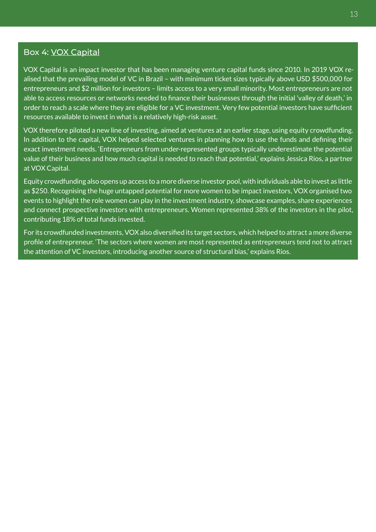#### 13

#### Box 4: [VOX Capital](www.voxcapital.com.br/)

VOX Capital is an impact investor that has been managing venture capital funds since 2010. In 2019 VOX realised that the prevailing model of VC in Brazil – with minimum ticket sizes typically above USD \$500,000 for entrepreneurs and \$2 million for investors – limits access to a very small minority. Most entrepreneurs are not able to access resources or networks needed to finance their businesses through the initial 'valley of death,' in order to reach a scale where they are eligible for a VC investment. Very few potential investors have sufficient resources available to invest in what is a relatively high-risk asset.

VOX therefore piloted a new line of investing, aimed at ventures at an earlier stage, using equity crowdfunding. In addition to the capital, VOX helped selected ventures in planning how to use the funds and defining their exact investment needs. 'Entrepreneurs from under-represented groups typically underestimate the potential value of their business and how much capital is needed to reach that potential,' explains Jessica Rios, a partner at VOX Capital.

Equity crowdfunding also opens up access to a more diverse investor pool, with individuals able to invest as little as \$250. Recognising the huge untapped potential for more women to be impact investors, VOX organised two events to highlight the role women can play in the investment industry, showcase examples, share experiences and connect prospective investors with entrepreneurs. Women represented 38% of the investors in the pilot, contributing 18% of total funds invested.

For its crowdfunded investments, VOX also diversified its target sectors, which helped to attract a more diverse profile of entrepreneur. 'The sectors where women are most represented as entrepreneurs tend not to attract the attention of VC investors, introducing another source of structural bias,' explains Rios.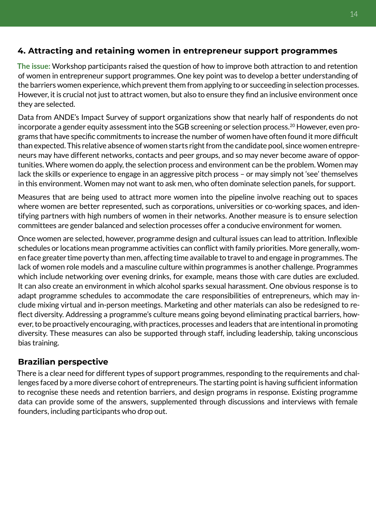# **4. Attracting and retaining women in entrepreneur support programmes**

**The issue:** Workshop participants raised the question of how to improve both attraction to and retention of women in entrepreneur support programmes. One key point was to develop a better understanding of the barriers women experience, which prevent them from applying to or succeeding in selection processes. However, it is crucial not just to attract women, but also to ensure they find an inclusive environment once they are selected.

Data from ANDE's Impact Survey of support organizations show that nearly half of respondents do not incorporate a gender equity assessment into the SGB screening or selection process.<sup>20</sup> However, even programs that have specific commitments to increase the number of women have often found it more difficult than expected. This relative absence of women starts right from the candidate pool, since women entrepreneurs may have different networks, contacts and peer groups, and so may never become aware of opportunities. Where women do apply, the selection process and environment can be the problem. Women may lack the skills or experience to engage in an aggressive pitch process – or may simply not 'see' themselves in this environment. Women may not want to ask men, who often dominate selection panels, for support.

Measures that are being used to attract more women into the pipeline involve reaching out to spaces where women are better represented, such as corporations, universities or co-working spaces, and identifying partners with high numbers of women in their networks. Another measure is to ensure selection committees are gender balanced and selection processes offer a conducive environment for women.

Once women are selected, however, programme design and cultural issues can lead to attrition. Inflexible schedules or locations mean programme activities can conflict with family priorities. More generally, women face greater time poverty than men, affecting time available to travel to and engage in programmes. The lack of women role models and a masculine culture within programmes is another challenge. Programmes which include networking over evening drinks, for example, means those with care duties are excluded. It can also create an environment in which alcohol sparks sexual harassment. One obvious response is to adapt programme schedules to accommodate the care responsibilities of entrepreneurs, which may include mixing virtual and in-person meetings. Marketing and other materials can also be redesigned to reflect diversity. Addressing a programme's culture means going beyond eliminating practical barriers, however, to be proactively encouraging, with practices, processes and leaders that are intentional in promoting diversity. These measures can also be supported through staff, including leadership, taking unconscious bias training.

#### **Brazilian perspective**

There is a clear need for different types of support programmes, responding to the requirements and challenges faced by a more diverse cohort of entrepreneurs. The starting point is having sufficient information to recognise these needs and retention barriers, and design programs in response. Existing programme data can provide some of the answers, supplemented through discussions and interviews with female founders, including participants who drop out.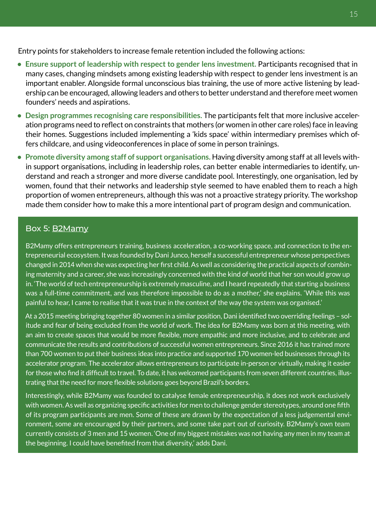Entry points for stakeholders to increase female retention included the following actions:

- **Ensure support of leadership with respect to gender lens investment.** Participants recognised that in many cases, changing mindsets among existing leadership with respect to gender lens investment is an important enabler. Alongside formal unconscious bias training, the use of more active listening by leadership can be encouraged, allowing leaders and others to better understand and therefore meet women founders' needs and aspirations.
- **Design programmes recognising care responsibilities.** The participants felt that more inclusive acceleration programs need to reflect on constraints that mothers (or women in other care roles) face in leaving their homes. Suggestions included implementing a 'kids space' within intermediary premises which offers childcare, and using videoconferences in place of some in person trainings.
- **Promote diversity among staff of support organisations.** Having diversity among staff at all levels within support organisations, including in leadership roles, can better enable intermediaries to identify, understand and reach a stronger and more diverse candidate pool. Interestingly, one organisation, led by women, found that their networks and leadership style seemed to have enabled them to reach a high proportion of women entrepreneurs, although this was not a proactive strategy priority. The workshop made them consider how to make this a more intentional part of program design and communication.

#### Box 5: [B2Mamy](www.b2mamy.com.br/)

B2Mamy offers entrepreneurs training, business acceleration, a co-working space, and connection to the entrepreneurial ecosystem. It was founded by Dani Junco, herself a successful entrepreneur whose perspectives changed in 2014 when she was expecting her first child. As well as considering the practical aspects of combining maternity and a career, she was increasingly concerned with the kind of world that her son would grow up in. 'The world of tech entrepreneurship is extremely masculine, and I heard repeatedly that starting a business was a full-time commitment, and was therefore impossible to do as a mother,' she explains. 'While this was painful to hear, I came to realise that it was true in the context of the way the system was organised.'

At a 2015 meeting bringing together 80 women in a similar position, Dani identified two overriding feelings – solitude and fear of being excluded from the world of work. The idea for B2Mamy was born at this meeting, with an aim to create spaces that would be more flexible, more empathic and more inclusive, and to celebrate and communicate the results and contributions of successful women entrepreneurs. Since 2016 it has trained more than 700 women to put their business ideas into practice and supported 170 women-led businesses through its accelerator program. The accelerator allows entrepreneurs to participate in-person or virtually, making it easier for those who find it difficult to travel. To date, it has welcomed participants from seven different countries, illustrating that the need for more flexible solutions goes beyond Brazil's borders.

Interestingly, while B2Mamy was founded to catalyse female entrepreneurship, it does not work exclusively with women. As well as organizing specific activities for men to challenge gender stereotypes, around one fifth of its program participants are men. Some of these are drawn by the expectation of a less judgemental environment, some are encouraged by their partners, and some take part out of curiosity. B2Mamy's own team currently consists of 3 men and 15 women. 'One of my biggest mistakes was not having any men in my team at the beginning. I could have benefited from that diversity,' adds Dani.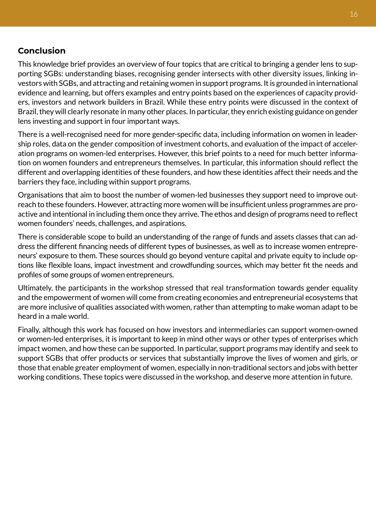#### **Conclusion**

This knowledge brief provides an overview of four topics that are critical to bringing a gender lens to supporting SGBs: understanding biases, recognising gender intersects with other diversity issues, linking investors with SGBs, and attracting and retaining women in support programs. It is grounded in international evidence and learning, but offers examples and entry points based on the experiences of capacity providers, investors and network builders in Brazil. While these entry points were discussed in the context of Brazil, they will clearly resonate in many other places. In particular, they enrich existing guidance on gender lens investing and support in four important ways.

There is a well-recognised need for more gender-specific data, including information on women in leadership roles, data on the gender composition of investment cohorts, and evaluation of the impact of acceleration programs on women-led enterprises. However, this brief points to a need for much better information on women founders and entrepreneurs themselves. In particular, this information should reflect the different and overlapping identities of these founders, and how these identities affect their needs and the barriers they face, including within support programs.

Organisations that aim to boost the number of women-led businesses they support need to improve outreach to these founders. However, attracting more women will be insufficient unless programmes are proactive and intentional in including them once they arrive. The ethos and design of programs need to reflect women founders' needs, challenges, and aspirations.

There is considerable scope to build an understanding of the range of funds and assets classes that can address the different financing needs of different types of businesses, as well as to increase women entrepreneurs' exposure to them. These sources should go beyond venture capital and private equity to include options like flexible loans, impact investment and crowdfunding sources, which may better fit the needs and profiles of some groups of women entrepreneurs.

Ultimately, the participants in the workshop stressed that real transformation towards gender equality and the empowerment of women will come from creating economies and entrepreneurial ecosystems that are more inclusive of qualities associated with women, rather than attempting to make woman adapt to be heard in a male world.

Finally, although this work has focused on how investors and intermediaries can support women-owned or women-led enterprises, it is important to keep in mind other ways or other types of enterprises which impact women, and how these can be supported. In particular, support programs may identify and seek to support SGBs that offer products or services that substantially improve the lives of women and girls, or those that enable greater employment of women, especially in non-traditional sectors and jobs with better working conditions. These topics were discussed in the workshop, and deserve more attention in future.